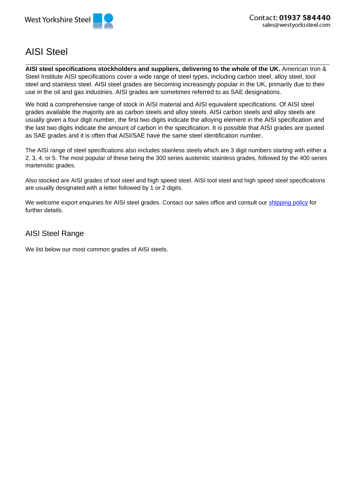

## AISI Steel

**AISI steel specifications stockholders and suppliers, delivering to the whole of the UK.** American Iron & Steel Institute AISI specifications cover a wide range of steel types, including carbon steel, alloy steel, tool steel and stainless steel. AISI steel grades are becoming increasingly popular in the UK, primarily due to their use in the oil and gas industries. AISI grades are sometimes referred to as SAE designations.

We hold a comprehensive range of stock in AISI material and AISI equivalent specifications. Of AISI steel grades available the majority are as carbon steels and alloy steels. AISI carbon steels and alloy steels are usually given a four digit number, the first two digits indicate the alloying element in the AISI specification and the last two digits indicate the amount of carbon in the specification. It is possible that AISI grades are quoted as SAE grades and it is often that AISI/SAE have the same steel identification number.

The AISI range of steel specifications also includes stainless steels which are 3 digit numbers starting with either a 2, 3, 4, or 5. The most popular of these being the 300 series austenitic stainless grades, followed by the 400 series martensitic grades.

Also stocked are AISI grades of tool steel and high speed steel. AISI tool steel and high speed steel specifications are usually designated with a letter followed by 1 or 2 digits.

We welcome export enquiries for AISI steel grades. Contact our sales office and consult our shipping policy for further details.

## AISI Steel Range

We list below our most common grades of AISI steels.